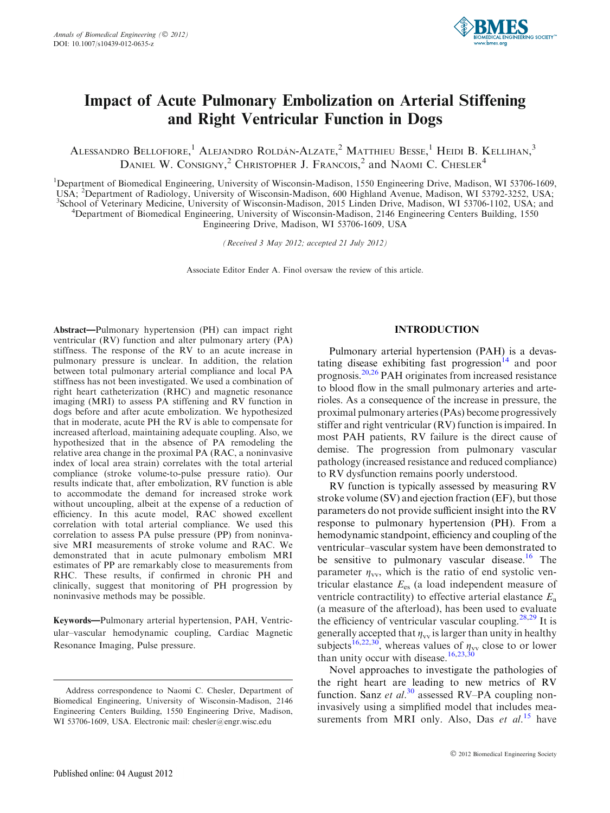

# Impact of Acute Pulmonary Embolization on Arterial Stiffening and Right Ventricular Function in Dogs

Alessandro Bellofiore,<sup>1</sup> Alejandro Roldán-Alzate,<sup>2</sup> Matthieu Besse,<sup>1</sup> Heidi B. Kellihan,<sup>3</sup> DANIEL W. CONSIGNY,<sup>2</sup> CHRISTOPHER J. FRANCOIS,<sup>2</sup> and NAOMI C. CHESLER<sup>4</sup>

<sup>1</sup>Department of Biomedical Engineering, University of Wisconsin-Madison, 1550 Engineering Drive, Madison, WI 53706-1609, USA; <sup>2</sup>Department of Radiology, University of Wisconsin-Madison, 600 Highland Avenue, Madison, WI 53792-3252, USA;<br><sup>3</sup>School of Veterinary Medicine, University of Wisconsin Madison, 2015 Linden Drive, Madison, WI 53706 11 <sup>3</sup>School of Veterinary Medicine, University of Wisconsin-Madison, 2015 Linden Drive, Madison, WI 53706-1102, USA; and <sup>4</sup>Department of Biomedical Engineering, University of Wisconsin-Madison, 2146 Engineering Centers Building, 1550 Engineering Drive, Madison, WI 53706-1609, USA

(Received 3 May 2012; accepted 21 July 2012)

Associate Editor Ender A. Finol oversaw the review of this article.

Abstract—Pulmonary hypertension (PH) can impact right ventricular (RV) function and alter pulmonary artery (PA) stiffness. The response of the RV to an acute increase in pulmonary pressure is unclear. In addition, the relation between total pulmonary arterial compliance and local PA stiffness has not been investigated. We used a combination of right heart catheterization (RHC) and magnetic resonance imaging (MRI) to assess PA stiffening and RV function in dogs before and after acute embolization. We hypothesized that in moderate, acute PH the RV is able to compensate for increased afterload, maintaining adequate coupling. Also, we hypothesized that in the absence of PA remodeling the relative area change in the proximal PA (RAC, a noninvasive index of local area strain) correlates with the total arterial compliance (stroke volume-to-pulse pressure ratio). Our results indicate that, after embolization, RV function is able to accommodate the demand for increased stroke work without uncoupling, albeit at the expense of a reduction of efficiency. In this acute model, RAC showed excellent correlation with total arterial compliance. We used this correlation to assess PA pulse pressure (PP) from noninvasive MRI measurements of stroke volume and RAC. We demonstrated that in acute pulmonary embolism MRI estimates of PP are remarkably close to measurements from RHC. These results, if confirmed in chronic PH and clinically, suggest that monitoring of PH progression by noninvasive methods may be possible.

Keywords—Pulmonary arterial hypertension, PAH, Ventricular–vascular hemodynamic coupling, Cardiac Magnetic Resonance Imaging, Pulse pressure.

# INTRODUCTION

Pulmonary arterial hypertension (PAH) is a devastating disease exhibiting fast progression $14$  and poor prognosis[.20,26](#page-9-0) PAH originates from increased resistance to blood flow in the small pulmonary arteries and arterioles. As a consequence of the increase in pressure, the proximal pulmonary arteries (PAs) become progressively stiffer and right ventricular (RV) function is impaired. In most PAH patients, RV failure is the direct cause of demise. The progression from pulmonary vascular pathology (increased resistance and reduced compliance) to RV dysfunction remains poorly understood.

RV function is typically assessed by measuring RV stroke volume (SV) and ejection fraction (EF), but those parameters do not provide sufficient insight into the RV response to pulmonary hypertension (PH). From a hemodynamic standpoint, efficiency and coupling of the ventricular–vascular system have been demonstrated to be sensitive to pulmonary vascular disease.<sup>16</sup> The parameter  $\eta_{vv}$ , which is the ratio of end systolic ventricular elastance  $E_{es}$  (a load independent measure of ventricle contractility) to effective arterial elastance  $E_a$ (a measure of the afterload), has been used to evaluate the efficiency of ventricular vascular coupling.<sup>[28,29](#page-9-0)</sup> It is generally accepted that  $\eta_{yy}$  is larger than unity in healthy subjects<sup>16,22,30</sup>, whereas values of  $\eta_{\rm v}$  close to or lower than unity occur with disease.<sup>[16,23,30](#page-9-0)</sup>

Novel approaches to investigate the pathologies of the right heart are leading to new metrics of RV function. Sanz et al.<sup>[30](#page-9-0)</sup> assessed RV–PA coupling noninvasively using a simplified model that includes measurements from MRI only. Also, Das et  $al$ <sup>[15](#page-8-0)</sup> have

Address correspondence to Naomi C. Chesler, Department of Biomedical Engineering, University of Wisconsin-Madison, 2146 Engineering Centers Building, 1550 Engineering Drive, Madison, WI 53706-1609, USA. Electronic mail: chesler@engr.wisc.edu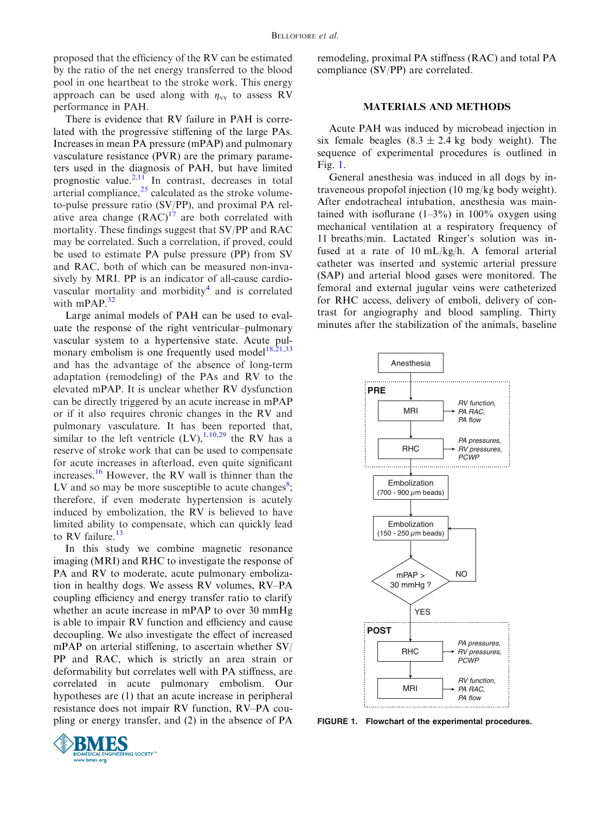<span id="page-1-0"></span>proposed that the efficiency of the RV can be estimated by the ratio of the net energy transferred to the blood pool in one heartbeat to the stroke work. This energy approach can be used along with  $\eta_{vv}$  to assess RV performance in PAH.

There is evidence that RV failure in PAH is correlated with the progressive stiffening of the large PAs. Increases in mean PA pressure (mPAP) and pulmonary vasculature resistance (PVR) are the primary parameters used in the diagnosis of PAH, but have limited prognostic value. $2,11$  In contrast, decreases in total arterial compliance, $25$  calculated as the stroke volumeto-pulse pressure ratio (SV/PP), and proximal PA relative area change  $(RAC)^{17}$  $(RAC)^{17}$  $(RAC)^{17}$  are both correlated with mortality. These findings suggest that SV/PP and RAC may be correlated. Such a correlation, if proved, could be used to estimate PA pulse pressure (PP) from SV and RAC, both of which can be measured non-invasively by MRI. PP is an indicator of all-cause cardiovascular mortality and morbidity $4$  and is correlated with mPAP. $32$ 

Large animal models of PAH can be used to evaluate the response of the right ventricular–pulmonary vascular system to a hypertensive state. Acute pul-monary embolism is one frequently used model<sup>[18,21,33](#page-9-0)</sup> and has the advantage of the absence of long-term adaptation (remodeling) of the PAs and RV to the elevated mPAP. It is unclear whether RV dysfunction can be directly triggered by an acute increase in mPAP or if it also requires chronic changes in the RV and pulmonary vasculature. It has been reported that, similar to the left ventricle  $(LV)$ ,  $^{1,10,29}$  $^{1,10,29}$  $^{1,10,29}$  $^{1,10,29}$  the RV has a reserve of stroke work that can be used to compensate for acute increases in afterload, even quite significant increases.[16](#page-9-0) However, the RV wall is thinner than the LV and so may be more susceptible to acute changes<sup>[8](#page-8-0)</sup>; therefore, if even moderate hypertension is acutely induced by embolization, the RV is believed to have limited ability to compensate, which can quickly lead to RV failure. $^{13}$  $^{13}$  $^{13}$ 

In this study we combine magnetic resonance imaging (MRI) and RHC to investigate the response of PA and RV to moderate, acute pulmonary embolization in healthy dogs. We assess RV volumes, RV–PA coupling efficiency and energy transfer ratio to clarify whether an acute increase in mPAP to over 30 mmHg is able to impair RV function and efficiency and cause decoupling. We also investigate the effect of increased mPAP on arterial stiffening, to ascertain whether SV/ PP and RAC, which is strictly an area strain or deformability but correlates well with PA stiffness, are correlated in acute pulmonary embolism. Our hypotheses are (1) that an acute increase in peripheral resistance does not impair RV function, RV–PA coupling or energy transfer, and (2) in the absence of PA



remodeling, proximal PA stiffness (RAC) and total PA compliance (SV/PP) are correlated.

# MATERIALS AND METHODS

Acute PAH was induced by microbead injection in six female beagles  $(8.3 \pm 2.4 \text{ kg}$  body weight). The sequence of experimental procedures is outlined in Fig. 1.

General anesthesia was induced in all dogs by intraveneous propofol injection (10 mg/kg body weight). After endotracheal intubation, anesthesia was maintained with isoflurane  $(1-3\%)$  in 100% oxygen using mechanical ventilation at a respiratory frequency of 11 breaths/min. Lactated Ringer's solution was infused at a rate of 10 mL/kg/h. A femoral arterial catheter was inserted and systemic arterial pressure (SAP) and arterial blood gases were monitored. The femoral and external jugular veins were catheterized for RHC access, delivery of emboli, delivery of contrast for angiography and blood sampling. Thirty minutes after the stabilization of the animals, baseline



FIGURE 1. Flowchart of the experimental procedures.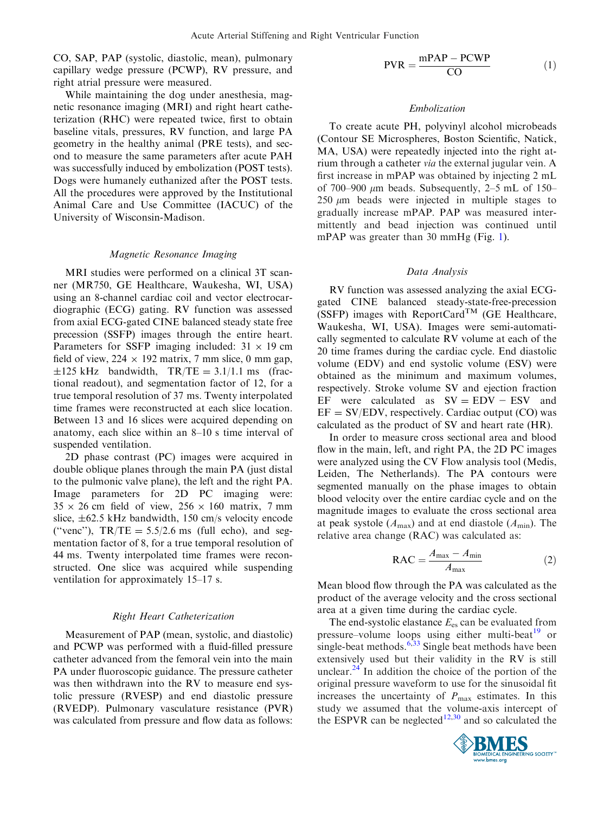CO, SAP, PAP (systolic, diastolic, mean), pulmonary capillary wedge pressure (PCWP), RV pressure, and right atrial pressure were measured.

While maintaining the dog under anesthesia, magnetic resonance imaging (MRI) and right heart catheterization (RHC) were repeated twice, first to obtain baseline vitals, pressures, RV function, and large PA geometry in the healthy animal (PRE tests), and second to measure the same parameters after acute PAH was successfully induced by embolization (POST tests). Dogs were humanely euthanized after the POST tests. All the procedures were approved by the Institutional Animal Care and Use Committee (IACUC) of the University of Wisconsin-Madison.

### Magnetic Resonance Imaging

MRI studies were performed on a clinical 3T scanner (MR750, GE Healthcare, Waukesha, WI, USA) using an 8-channel cardiac coil and vector electrocardiographic (ECG) gating. RV function was assessed from axial ECG-gated CINE balanced steady state free precession (SSFP) images through the entire heart. Parameters for SSFP imaging included:  $31 \times 19$  cm field of view,  $224 \times 192$  matrix, 7 mm slice, 0 mm gap,  $\pm 125$  kHz bandwidth, TR/TE = 3.1/1.1 ms (fractional readout), and segmentation factor of 12, for a true temporal resolution of 37 ms. Twenty interpolated time frames were reconstructed at each slice location. Between 13 and 16 slices were acquired depending on anatomy, each slice within an 8–10 s time interval of suspended ventilation.

2D phase contrast (PC) images were acquired in double oblique planes through the main PA (just distal to the pulmonic valve plane), the left and the right PA. Image parameters for 2D PC imaging were:  $35 \times 26$  cm field of view,  $256 \times 160$  matrix, 7 mm slice,  $\pm 62.5$  kHz bandwidth, 150 cm/s velocity encode ("venc"),  $TR/TE = 5.5/2.6$  ms (full echo), and segmentation factor of 8, for a true temporal resolution of 44 ms. Twenty interpolated time frames were reconstructed. One slice was acquired while suspending ventilation for approximately 15–17 s.

#### Right Heart Catheterization

Measurement of PAP (mean, systolic, and diastolic) and PCWP was performed with a fluid-filled pressure catheter advanced from the femoral vein into the main PA under fluoroscopic guidance. The pressure catheter was then withdrawn into the RV to measure end systolic pressure (RVESP) and end diastolic pressure (RVEDP). Pulmonary vasculature resistance (PVR) was calculated from pressure and flow data as follows:

$$
PVR = \frac{mPAP - PCWP}{CO}
$$
 (1)

### Embolization

To create acute PH, polyvinyl alcohol microbeads (Contour SE Microspheres, Boston Scientific, Natick, MA, USA) were repeatedly injected into the right atrium through a catheter via the external jugular vein. A first increase in mPAP was obtained by injecting 2 mL of 700–900  $\mu$ m beads. Subsequently, 2–5 mL of 150– 250  $\mu$ m beads were injected in multiple stages to gradually increase mPAP. PAP was measured intermittently and bead injection was continued until mPAP was greater than 30 mmHg (Fig. [1](#page-1-0)).

### Data Analysis

RV function was assessed analyzing the axial ECGgated CINE balanced steady-state-free-precession (SSFP) images with ReportCard<sup>TM</sup> (GE Healthcare, Waukesha, WI, USA). Images were semi-automatically segmented to calculate RV volume at each of the 20 time frames during the cardiac cycle. End diastolic volume (EDV) and end systolic volume (ESV) were obtained as the minimum and maximum volumes, respectively. Stroke volume SV and ejection fraction EF were calculated as  $SV = EDV - ESV$  and  $EF = SV/EDV$ , respectively. Cardiac output (CO) was calculated as the product of SV and heart rate (HR).

In order to measure cross sectional area and blood flow in the main, left, and right PA, the 2D PC images were analyzed using the CV Flow analysis tool (Medis, Leiden, The Netherlands). The PA contours were segmented manually on the phase images to obtain blood velocity over the entire cardiac cycle and on the magnitude images to evaluate the cross sectional area at peak systole ( $A_{\text{max}}$ ) and at end diastole ( $A_{\text{min}}$ ). The relative area change (RAC) was calculated as:

$$
RAC = \frac{A_{\text{max}} - A_{\text{min}}}{A_{\text{max}}}
$$
 (2)

Mean blood flow through the PA was calculated as the product of the average velocity and the cross sectional area at a given time during the cardiac cycle.

The end-systolic elastance  $E_{es}$  can be evaluated from pressure–volume loops using either multi-beat<sup>[19](#page-9-0)</sup> or single-beat methods. $6,33$  $6,33$  Single beat methods have been extensively used but their validity in the RV is still unclear. $^{24}$  $^{24}$  $^{24}$  In addition the choice of the portion of the original pressure waveform to use for the sinusoidal fit increases the uncertainty of  $P_{\text{max}}$  estimates. In this study we assumed that the volume-axis intercept of the ESPVR can be neglected<sup>[12](#page-8-0)[,30](#page-9-0)</sup> and so calculated the

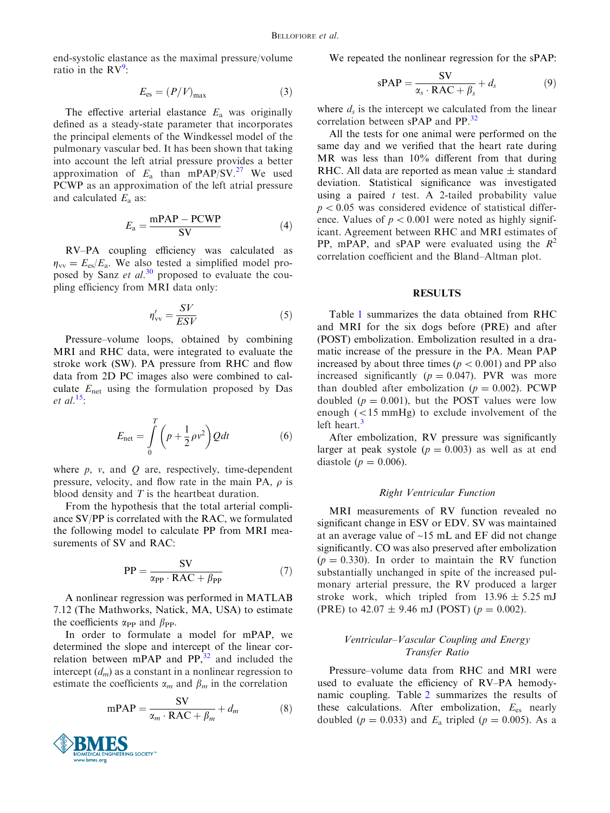<span id="page-3-0"></span>end-systolic elastance as the maximal pressure/volume ratio in the  $RV<sup>9</sup>$  $RV<sup>9</sup>$  $RV<sup>9</sup>$ :

$$
E_{\rm es} = (P/V)_{\rm max} \tag{3}
$$

The effective arterial elastance  $E_a$  was originally defined as a steady-state parameter that incorporates the principal elements of the Windkessel model of the pulmonary vascular bed. It has been shown that taking into account the left atrial pressure provides a better approximation of  $E_a$  than mPAP/SV.<sup>[27](#page-9-0)</sup> We used PCWP as an approximation of the left atrial pressure and calculated  $E_a$  as:

$$
E_{\rm a} = \frac{\rm mPAP - PCWP}{\rm SV} \tag{4}
$$

RV–PA coupling efficiency was calculated as  $\eta_{\text{vv}} = E_{\text{es}}/E_{\text{a}}$ . We also tested a simplified model proposed by Sanz et  $al.^{30}$  $al.^{30}$  $al.^{30}$  proposed to evaluate the coupling efficiency from MRI data only:

$$
\eta'_{vv} = \frac{SV}{ESV} \tag{5}
$$

Pressure–volume loops, obtained by combining MRI and RHC data, were integrated to evaluate the stroke work (SW). PA pressure from RHC and flow data from 2D PC images also were combined to calculate  $E_{\text{net}}$  using the formulation proposed by Das et al. $15$ :

$$
E_{\text{net}} = \int_{0}^{T} \left( p + \frac{1}{2} \rho v^2 \right) Q dt \tag{6}
$$

where  $p$ ,  $v$ , and  $Q$  are, respectively, time-dependent pressure, velocity, and flow rate in the main PA,  $\rho$  is blood density and  $T$  is the heartbeat duration.

From the hypothesis that the total arterial compliance SV/PP is correlated with the RAC, we formulated the following model to calculate PP from MRI measurements of SV and RAC:

$$
PP = \frac{SV}{\alpha_{PP} \cdot RAC + \beta_{PP}}\tag{7}
$$

A nonlinear regression was performed in MATLAB 7.12 (The Mathworks, Natick, MA, USA) to estimate the coefficients  $\alpha_{\rm PP}$  and  $\beta_{\rm PP}$ .

In order to formulate a model for mPAP, we determined the slope and intercept of the linear correlation between mPAP and PP $,$ <sup>[32](#page-9-0)</sup> and included the intercept  $(d_m)$  as a constant in a nonlinear regression to estimate the coefficients  $\alpha_m$  and  $\beta_m$  in the correlation

$$
mPAP = \frac{SV}{\alpha_m \cdot RAC + \beta_m} + d_m \tag{8}
$$



We repeated the nonlinear regression for the sPAP:

$$
sPAP = \frac{SV}{\alpha_s \cdot RAC + \beta_s} + d_s \tag{9}
$$

where  $d_s$  is the intercept we calculated from the linear correlation between sPAP and PP.<sup>[32](#page-9-0)</sup>

All the tests for one animal were performed on the same day and we verified that the heart rate during MR was less than 10% different from that during RHC. All data are reported as mean value  $\pm$  standard deviation. Statistical significance was investigated using a paired  $t$  test. A 2-tailed probability value  $p < 0.05$  was considered evidence of statistical difference. Values of  $p < 0.001$  were noted as highly significant. Agreement between RHC and MRI estimates of PP, mPAP, and sPAP were evaluated using the  $R^2$ correlation coefficient and the Bland–Altman plot.

#### RESULTS

Table [1](#page-4-0) summarizes the data obtained from RHC and MRI for the six dogs before (PRE) and after (POST) embolization. Embolization resulted in a dramatic increase of the pressure in the PA. Mean PAP increased by about three times ( $p < 0.001$ ) and PP also increased significantly ( $p = 0.047$ ). PVR was more than doubled after embolization ( $p = 0.002$ ). PCWP doubled ( $p = 0.001$ ), but the POST values were low enough (<15 mmHg) to exclude involvement of the left heart. $3$ 

After embolization, RV pressure was significantly larger at peak systole  $(p = 0.003)$  as well as at end diastole ( $p = 0.006$ ).

#### Right Ventricular Function

MRI measurements of RV function revealed no significant change in ESV or EDV. SV was maintained at an average value of ~15 mL and EF did not change significantly. CO was also preserved after embolization  $(p = 0.330)$ . In order to maintain the RV function substantially unchanged in spite of the increased pulmonary arterial pressure, the RV produced a larger stroke work, which tripled from  $13.96 \pm 5.25$  mJ (PRE) to  $42.07 \pm 9.46$  mJ (POST) ( $p = 0.002$ ).

# Ventricular–Vascular Coupling and Energy Transfer Ratio

Pressure–volume data from RHC and MRI were used to evaluate the efficiency of RV–PA hemodynamic coupling. Table [2](#page-4-0) summarizes the results of these calculations. After embolization,  $E_{\text{es}}$  nearly doubled ( $p = 0.033$ ) and  $E_a$  tripled ( $p = 0.005$ ). As a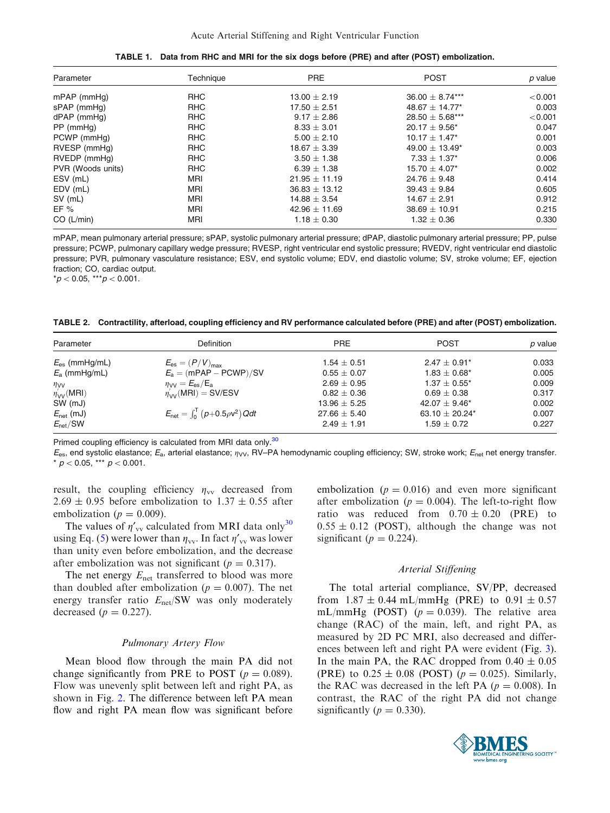<span id="page-4-0"></span>

| Parameter         | Technique  | <b>PRE</b>        | <b>POST</b>                   | p value |
|-------------------|------------|-------------------|-------------------------------|---------|
| $mPAP$ (mmHg)     | <b>RHC</b> | $13.00 \pm 2.19$  | $36.00 \pm 8.74***$           | < 0.001 |
| sPAP (mmHg)       | <b>RHC</b> | $17.50 \pm 2.51$  | $48.67 \pm 14.77$ *           | 0.003   |
| $dPAP$ (mmHg)     | <b>RHC</b> | $9.17 \pm 2.86$   | $28.50 \pm 5.68***$           | < 0.001 |
| $PP$ (mmHg)       | <b>RHC</b> | $8.33 \pm 3.01$   | $20.17 \pm 9.56^*$            | 0.047   |
| PCWP (mmHq)       | <b>RHC</b> | $5.00 \pm 2.10$   | $10.17 \pm 1.47$ <sup>*</sup> | 0.001   |
| RVESP (mmHg)      | <b>RHC</b> | $18.67 \pm 3.39$  | $49.00 \pm 13.49^*$           | 0.003   |
| RVEDP (mmHg)      | <b>RHC</b> | $3.50 \pm 1.38$   | $7.33 \pm 1.37$ <sup>*</sup>  | 0.006   |
| PVR (Woods units) | <b>RHC</b> | $6.39 \pm 1.38$   | $15.70 \pm 4.07*$             | 0.002   |
| ESV (mL)          | <b>MRI</b> | $21.95 + 11.19$   | $24.76 \pm 9.48$              | 0.414   |
| EDV (mL)          | <b>MRI</b> | $36.83 \pm 13.12$ | $39.43 \pm 9.84$              | 0.605   |
| $SV$ (mL)         | MRI        | $14.88 \pm 3.54$  | $14.67 \pm 2.91$              | 0.912   |
| EF%               | <b>MRI</b> | $42.96 \pm 11.69$ | $38.69 \pm 10.91$             | 0.215   |
| CO (L/min)        | <b>MRI</b> | $1.18 \pm 0.30$   | $1.32 \pm 0.36$               | 0.330   |

mPAP, mean pulmonary arterial pressure; sPAP, systolic pulmonary arterial pressure; dPAP, diastolic pulmonary arterial pressure; PP, pulse pressure; PCWP, pulmonary capillary wedge pressure; RVESP, right ventricular end systolic pressure; RVEDV, right ventricular end diastolic pressure; PVR, pulmonary vasculature resistance; ESV, end systolic volume; EDV, end diastolic volume; SV, stroke volume; EF, ejection fraction; CO, cardiac output.

 $*p$  < 0.05,  $**p$  < 0.001.

TABLE 2. Contractility, afterload, coupling efficiency and RV performance calculated before (PRE) and after (POST) embolization.

| Parameter                 | Definition                                        | <b>PRE</b>       | <b>POST</b>        | p value |
|---------------------------|---------------------------------------------------|------------------|--------------------|---------|
| $E_{\text{es}}$ (mmHg/mL) | $E_{\rm es} = (P/V)_{\rm max}$                    | $1.54 \pm 0.51$  | $2.47 \pm 0.91^*$  | 0.033   |
| $E_a$ (mmHg/mL)           | $E_a = (mPAP - PCWP)/SV$                          | $0.55 \pm 0.07$  | $1.83 \pm 0.68^*$  | 0.005   |
| $\eta_{\rm VV}$           | $\eta_{\rm{VV}} = E_{\rm{es}}/E_{\rm{a}}$         | $2.69 \pm 0.95$  | $1.37 + 0.55^*$    | 0.009   |
| $\eta'_{VV}$ (MRI)        | $\eta'_{VV}$ (MRI) = SV/ESV                       | $0.82 \pm 0.36$  | $0.69 \pm 0.38$    | 0.317   |
| SW (mJ)                   |                                                   | $13.96 + 5.25$   | $42.07 \pm 9.46^*$ | 0.002   |
| $E_{\text{net}}$ (mJ)     | $E_{\text{net}} = \int_0^T (p+0.5 \rho v^2) Q dt$ | $27.66 \pm 5.40$ | 63.10 $\pm$ 20.24* | 0.007   |
| $E_{\text{net}}$ /SW      |                                                   | $2.49 \pm 1.91$  | $1.59 \pm 0.72$    | 0.227   |

Primed coupling efficiency is calculated from MRI data only.<sup>[30](#page-9-0)</sup>

 $E_{\text{es}}$ , end systolic elastance;  $E_{\text{a}}$ , arterial elastance;  $\eta_{\text{VV}}$ , RV–PA hemodynamic coupling efficiency; SW, stroke work;  $E_{\text{net}}$  net energy transfer. \*  $p < 0.05$ , \*\*\*  $p < 0.001$ .

result, the coupling efficiency  $\eta_{vv}$  decreased from  $2.69 \pm 0.95$  before embolization to  $1.37 \pm 0.55$  after embolization ( $p = 0.009$ ).

The values of  $\eta'_{\text{vv}}$  calculated from MRI data only<sup>[30](#page-9-0)</sup> using Eq. [\(5](#page-3-0)) were lower than  $\eta_{vv}$ . In fact  $\eta'_{vv}$  was lower than unity even before embolization, and the decrease after embolization was not significant ( $p = 0.317$ ).

The net energy  $E_{\text{net}}$  transferred to blood was more than doubled after embolization ( $p = 0.007$ ). The net energy transfer ratio  $E_{\text{net}}/SW$  was only moderately decreased  $(p = 0.227)$ .

### Pulmonary Artery Flow

Mean blood flow through the main PA did not change significantly from PRE to POST ( $p = 0.089$ ). Flow was unevenly split between left and right PA, as shown in Fig. [2.](#page-5-0) The difference between left PA mean flow and right PA mean flow was significant before embolization ( $p = 0.016$ ) and even more significant after embolization ( $p = 0.004$ ). The left-to-right flow ratio was reduced from  $0.70 \pm 0.20$  (PRE) to  $0.55 \pm 0.12$  (POST), although the change was not significant ( $p = 0.224$ ).

# Arterial Stiffening

The total arterial compliance, SV/PP, decreased from  $1.87 \pm 0.44$  mL/mmHg (PRE) to  $0.91 \pm 0.57$ mL/mmHg (POST) ( $p = 0.039$ ). The relative area change (RAC) of the main, left, and right PA, as measured by 2D PC MRI, also decreased and differences between left and right PA were evident (Fig. [3](#page-5-0)). In the main PA, the RAC dropped from  $0.40 \pm 0.05$ (PRE) to  $0.25 \pm 0.08$  (POST) ( $p = 0.025$ ). Similarly, the RAC was decreased in the left PA ( $p = 0.008$ ). In contrast, the RAC of the right PA did not change significantly ( $p = 0.330$ ).

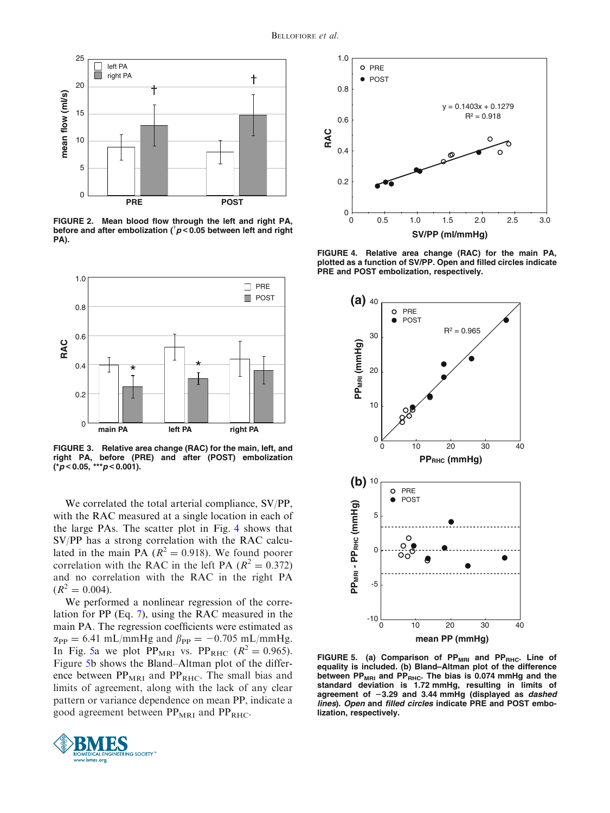<span id="page-5-0"></span>

FIGURE 2. Mean blood flow through the left and right PA, before and after embolization ( $\sqrt{p}$  < 0.05 between left and right PA).



FIGURE 3. Relative area change (RAC) for the main, left, and right PA, before (PRE) and after (POST) embolization  $(*p<0.05, **p<0.001).$ 

We correlated the total arterial compliance, SV/PP, with the RAC measured at a single location in each of the large PAs. The scatter plot in Fig. 4 shows that SV/PP has a strong correlation with the RAC calculated in the main PA ( $R^2 = 0.918$ ). We found poorer correlation with the RAC in the left PA ( $R^2 = 0.372$ ) and no correlation with the RAC in the right PA  $(R^2 = 0.004)$ .

We performed a nonlinear regression of the correlation for PP (Eq. [7](#page-3-0)), using the RAC measured in the main PA. The regression coefficients were estimated as  $\alpha_{PP} = 6.41$  mL/mmHg and  $\beta_{PP} = -0.705$  mL/mmHg. In Fig. 5a we plot PP<sub>MRI</sub> vs. PP<sub>RHC</sub> ( $R^2 = 0.965$ ). Figure 5b shows the Bland–Altman plot of the difference between  $PP_{MRI}$  and  $PP_{RHC}$ . The small bias and limits of agreement, along with the lack of any clear pattern or variance dependence on mean PP, indicate a good agreement between  $PP<sub>MRI</sub>$  and  $PP<sub>RHC</sub>$ .



FIGURE 4. Relative area change (RAC) for the main PA, plotted as a function of SV/PP. Open and filled circles indicate PRE and POST embolization, respectively.



FIGURE 5. (a) Comparison of  $PP_{MRI}$  and  $PP_{RHC}$ . Line of equality is included. (b) Bland–Altman plot of the difference between PP<sub>MRI</sub> and PP<sub>RHC</sub>. The bias is 0.074 mmHg and the standard deviation is 1.72 mmHg, resulting in limits of agreement of -3.29 and 3.44 mmHg (displayed as dashed lines). Open and filled circles indicate PRE and POST embolization, respectively.

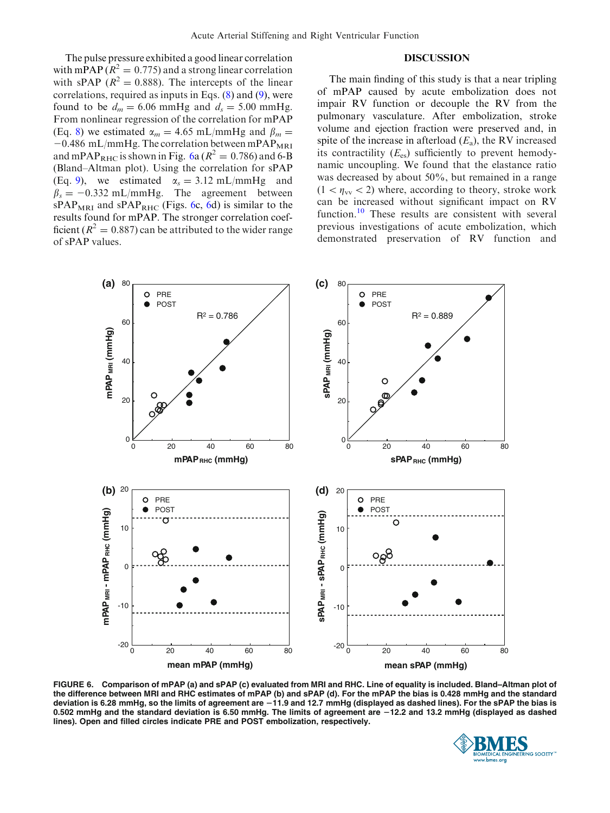The pulse pressure exhibited a good linear correlation with mPAP ( $R^2 = 0.775$ ) and a strong linear correlation with sPAP ( $R^2 = 0.888$ ). The intercepts of the linear correlations, required as inputs in Eqs.  $(8)$  $(8)$  and  $(9)$ , were found to be  $d_m = 6.06$  mmHg and  $d_s = 5.00$  mmHg. From nonlinear regression of the correlation for mPAP (Eq. [8](#page-3-0)) we estimated  $\alpha_m = 4.65$  mL/mmHg and  $\beta_m =$  $-0.486$  mL/mmHg. The correlation between mPAP<sub>MRI</sub> and mPAP<sub>RHC</sub> is shown in Fig. 6a ( $R^2 = 0.786$ ) and 6-B (Bland–Altman plot). Using the correlation for sPAP (Eq. [9](#page-3-0)), we estimated  $\alpha_s = 3.12 \text{ mL/mmHg}$  and  $\beta_s = -0.332$  mL/mmHg. The agreement between  $sPAP<sub>MRI</sub>$  and  $sPAP<sub>RHC</sub>$  (Figs. 6c, 6d) is similar to the results found for mPAP. The stronger correlation coefficient ( $R^2 = 0.887$ ) can be attributed to the wider range of sPAP values.

# DISCUSSION

The main finding of this study is that a near tripling of mPAP caused by acute embolization does not impair RV function or decouple the RV from the pulmonary vasculature. After embolization, stroke volume and ejection fraction were preserved and, in spite of the increase in afterload  $(E_a)$ , the RV increased its contractility  $(E_{es})$  sufficiently to prevent hemodynamic uncoupling. We found that the elastance ratio was decreased by about 50%, but remained in a range  $(1 < \eta_{vv} < 2)$  where, according to theory, stroke work can be increased without significant impact on RV function.<sup>10</sup> These results are consistent with several previous investigations of acute embolization, which demonstrated preservation of RV function and



FIGURE 6. Comparison of mPAP (a) and sPAP (c) evaluated from MRI and RHC. Line of equality is included. Bland–Altman plot of the difference between MRI and RHC estimates of mPAP (b) and sPAP (d). For the mPAP the bias is 0.428 mmHg and the standard deviation is 6.28 mmHg, so the limits of agreement are  $-11.9$  and 12.7 mmHg (displayed as dashed lines). For the sPAP the bias is 0.502 mmHg and the standard deviation is 6.50 mmHg. The limits of agreement are -12.2 and 13.2 mmHg (displayed as dashed lines). Open and filled circles indicate PRE and POST embolization, respectively.

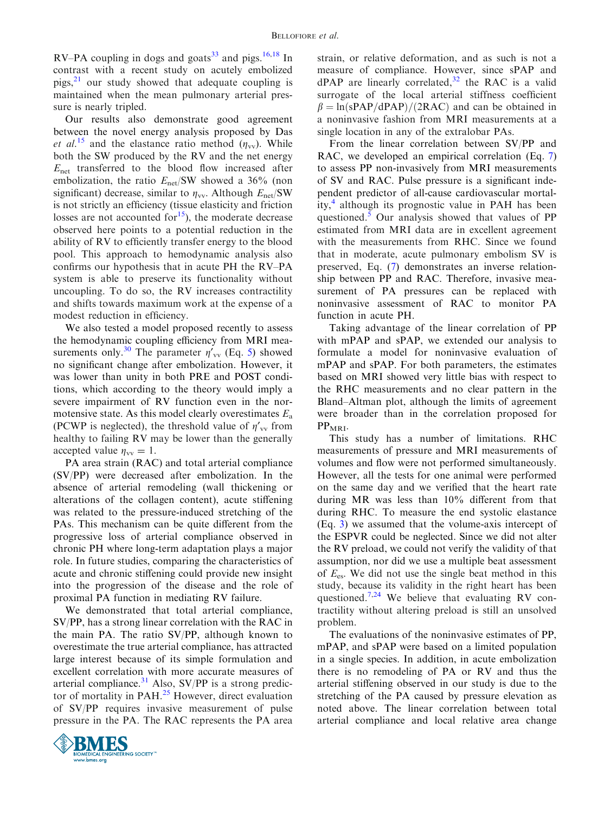$RV-PA$  coupling in dogs and goats<sup>[33](#page-9-0)</sup> and pigs.<sup>[16,18](#page-9-0)</sup> In contrast with a recent study on acutely embolized  $pigs<sub>1</sub><sup>21</sup>$  $pigs<sub>1</sub><sup>21</sup>$  $pigs<sub>1</sub><sup>21</sup>$  our study showed that adequate coupling is maintained when the mean pulmonary arterial pressure is nearly tripled.

Our results also demonstrate good agreement between the novel energy analysis proposed by Das *et al.*<sup>[15](#page-8-0)</sup> and the elastance ratio method  $(\eta_{vv})$ . While both the SW produced by the RV and the net energy  $E_{\text{net}}$  transferred to the blood flow increased after embolization, the ratio  $E_{\text{net}}/SW$  showed a 36% (non significant) decrease, similar to  $\eta_{vv}$ . Although  $E_{net}/SW$ is not strictly an efficiency (tissue elasticity and friction losses are not accounted for $^{15}$  $^{15}$  $^{15}$ ), the moderate decrease observed here points to a potential reduction in the ability of RV to efficiently transfer energy to the blood pool. This approach to hemodynamic analysis also confirms our hypothesis that in acute PH the RV–PA system is able to preserve its functionality without uncoupling. To do so, the RV increases contractility and shifts towards maximum work at the expense of a modest reduction in efficiency.

We also tested a model proposed recently to assess the hemodynamic coupling efficiency from MRI mea-surements only.<sup>[30](#page-9-0)</sup> The parameter  $\eta'_{vv}$  (Eq. [5\)](#page-3-0) showed no significant change after embolization. However, it was lower than unity in both PRE and POST conditions, which according to the theory would imply a severe impairment of RV function even in the normotensive state. As this model clearly overestimates  $E_a$ (PCWP is neglected), the threshold value of  $\eta'_{\rm vv}$  from healthy to failing RV may be lower than the generally accepted value  $\eta_{vv} = 1$ .

PA area strain (RAC) and total arterial compliance (SV/PP) were decreased after embolization. In the absence of arterial remodeling (wall thickening or alterations of the collagen content), acute stiffening was related to the pressure-induced stretching of the PAs. This mechanism can be quite different from the progressive loss of arterial compliance observed in chronic PH where long-term adaptation plays a major role. In future studies, comparing the characteristics of acute and chronic stiffening could provide new insight into the progression of the disease and the role of proximal PA function in mediating RV failure.

We demonstrated that total arterial compliance, SV/PP, has a strong linear correlation with the RAC in the main PA. The ratio SV/PP, although known to overestimate the true arterial compliance, has attracted large interest because of its simple formulation and excellent correlation with more accurate measures of arterial compliance. $31$  Also, SV/PP is a strong predictor of mortality in PAH $^{25}$  $^{25}$  $^{25}$  However, direct evaluation of SV/PP requires invasive measurement of pulse pressure in the PA. The RAC represents the PA area



strain, or relative deformation, and as such is not a measure of compliance. However, since sPAP and  $dPAP$  are linearly correlated,<sup>[32](#page-9-0)</sup> the RAC is a valid surrogate of the local arterial stiffness coefficient  $\beta = \ln(sPAP/dPAP)/(2RAC)$  and can be obtained in a noninvasive fashion from MRI measurements at a single location in any of the extralobar PAs.

From the linear correlation between SV/PP and RAC, we developed an empirical correlation (Eq. [7\)](#page-3-0) to assess PP non-invasively from MRI measurements of SV and RAC. Pulse pressure is a significant independent predictor of all-cause cardiovascular mortal-ity,<sup>[4](#page-8-0)</sup> although its prognostic value in PAH has been questioned.<sup>[5](#page-8-0)</sup> Our analysis showed that values of PP estimated from MRI data are in excellent agreement with the measurements from RHC. Since we found that in moderate, acute pulmonary embolism SV is preserved, Eq. ([7\)](#page-3-0) demonstrates an inverse relationship between PP and RAC. Therefore, invasive measurement of PA pressures can be replaced with noninvasive assessment of RAC to monitor PA function in acute PH.

Taking advantage of the linear correlation of PP with mPAP and sPAP, we extended our analysis to formulate a model for noninvasive evaluation of mPAP and sPAP. For both parameters, the estimates based on MRI showed very little bias with respect to the RHC measurements and no clear pattern in the Bland–Altman plot, although the limits of agreement were broader than in the correlation proposed for  $PP_{MRI}$ .

This study has a number of limitations. RHC measurements of pressure and MRI measurements of volumes and flow were not performed simultaneously. However, all the tests for one animal were performed on the same day and we verified that the heart rate during MR was less than 10% different from that during RHC. To measure the end systolic elastance (Eq. [3](#page-3-0)) we assumed that the volume-axis intercept of the ESPVR could be neglected. Since we did not alter the RV preload, we could not verify the validity of that assumption, nor did we use a multiple beat assessment of  $E_{\text{es}}$ . We did not use the single beat method in this study, because its validity in the right heart has been questioned.<sup>[7,](#page-8-0)[24](#page-9-0)</sup> We believe that evaluating RV contractility without altering preload is still an unsolved problem.

The evaluations of the noninvasive estimates of PP, mPAP, and sPAP were based on a limited population in a single species. In addition, in acute embolization there is no remodeling of PA or RV and thus the arterial stiffening observed in our study is due to the stretching of the PA caused by pressure elevation as noted above. The linear correlation between total arterial compliance and local relative area change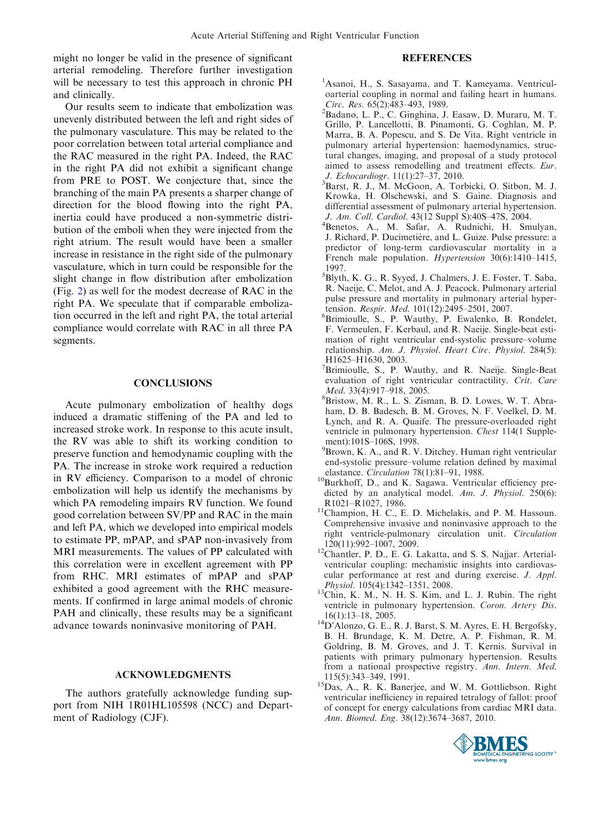<span id="page-8-0"></span>might no longer be valid in the presence of significant arterial remodeling. Therefore further investigation will be necessary to test this approach in chronic PH and clinically.

Our results seem to indicate that embolization was unevenly distributed between the left and right sides of the pulmonary vasculature. This may be related to the poor correlation between total arterial compliance and the RAC measured in the right PA. Indeed, the RAC in the right PA did not exhibit a significant change from PRE to POST. We conjecture that, since the branching of the main PA presents a sharper change of direction for the blood flowing into the right PA, inertia could have produced a non-symmetric distribution of the emboli when they were injected from the right atrium. The result would have been a smaller increase in resistance in the right side of the pulmonary vasculature, which in turn could be responsible for the slight change in flow distribution after embolization (Fig. [2\)](#page-5-0) as well for the modest decrease of RAC in the right PA. We speculate that if comparable embolization occurred in the left and right PA, the total arterial compliance would correlate with RAC in all three PA segments.

### **CONCLUSIONS**

Acute pulmonary embolization of healthy dogs induced a dramatic stiffening of the PA and led to increased stroke work. In response to this acute insult, the RV was able to shift its working condition to preserve function and hemodynamic coupling with the PA. The increase in stroke work required a reduction in RV efficiency. Comparison to a model of chronic embolization will help us identify the mechanisms by which PA remodeling impairs RV function. We found good correlation between SV/PP and RAC in the main and left PA, which we developed into empirical models to estimate PP, mPAP, and sPAP non-invasively from MRI measurements. The values of PP calculated with this correlation were in excellent agreement with PP from RHC. MRI estimates of mPAP and sPAP exhibited a good agreement with the RHC measurements. If confirmed in large animal models of chronic PAH and clinically, these results may be a significant advance towards noninvasive monitoring of PAH.

### ACKNOWLEDGMENTS

The authors gratefully acknowledge funding support from NIH 1R01HL105598 (NCC) and Department of Radiology (CJF).

# REFERENCES

- <sup>1</sup>Asanoi, H., S. Sasayama, and T. Kameyama. Ventriculoarterial coupling in normal and failing heart in humans. Circ. Res. 65(2):483–493, 1989. <sup>2</sup>
- <sup>2</sup>Badano, L. P., C. Ginghina, J. Easaw, D. Muraru, M. T. Grillo, P. Lancellotti, B. Pinamonti, G. Coghlan, M. P. Marra, B. A. Popescu, and S. De Vita. Right ventricle in pulmonary arterial hypertension: haemodynamics, structural changes, imaging, and proposal of a study protocol aimed to assess remodelling and treatment effects. Eur. J. Echocardiogr. 11(1):27–37, 2010. <sup>3</sup>
- Barst, R. J., M. McGoon, A. Torbicki, O. Sitbon, M. J. Krowka, H. Olschewski, and S. Gaine. Diagnosis and differential assessment of pulmonary arterial hypertension. J. Am. Coll. Cardiol. 43(12 Suppl S):40S-47S, 2004.
- Benetos, A., M. Safar, A. Rudnichi, H. Smulyan, J. Richard, P. Ducimetière, and L. Guize. Pulse pressure: a predictor of long-term cardiovascular mortality in a French male population. Hypertension 30(6):1410–1415, 1997.
- 5 Blyth, K. G., R. Syyed, J. Chalmers, J. E. Foster, T. Saba, R. Naeije, C. Melot, and A. J. Peacock. Pulmonary arterial pulse pressure and mortality in pulmonary arterial hypertension. Respir. Med. 101(12):2495-2501, 2007.
- <sup>6</sup>Brimioulle, S., P. Wauthy, P. Ewalenko, B. Rondelet, F. Vermeulen, F. Kerbaul, and R. Naeije. Single-beat estimation of right ventricular end-systolic pressure–volume relationship. Am. J. Physiol. Heart Circ. Physiol. 284(5): H1625–H1630, 2003.
- <sup>7</sup>Brimioulle, S., P. Wauthy, and R. Naeije. Single-Beat evaluation of right ventricular contractility. Crit. Care Med. 33(4):917-918, 2005.
- Bristow, M. R., L. S. Zisman, B. D. Lowes, W. T. Abraham, D. B. Badesch, B. M. Groves, N. F. Voelkel, D. M. Lynch, and R. A. Quaife. The pressure-overloaded right ventricle in pulmonary hypertension. Chest 114(1 Supplement):101S–106S, 1998.
- <sup>9</sup> Brown, K. A., and R. V. Ditchey. Human right ventricular end-systolic pressure–volume relation defined by maximal elastance. *Circulation* 78(1):81–91, 1988.
- $^{10}$ Burkhoff, D., and K. Sagawa. Ventricular efficiency predicted by an analytical model. Am. J. Physiol. 250(6):
- R1021–R1027, 1986.<br><sup>11</sup>Champion, H. C., E. D. Michelakis, and P. M. Hassoun. Comprehensive invasive and noninvasive approach to the right ventricle-pulmonary circulation unit. Circulation
- 120(11):992–1007, 2009.<br><sup>12</sup>Chantler, P. D., E. G. Lakatta, and S. S. Najjar. Arterialventricular coupling: mechanistic insights into cardiovascular performance at rest and during exercise. J. Appl.
- Physiol. 105(4):1342–1351, 2008.<br><sup>13</sup>Chin, K. M., N. H. S. Kim, and L. J. Rubin. The right ventricle in pulmonary hypertension. Coron. Artery Dis.  $16(1):13-18$ , 2005.
- <sup>14</sup>D'Alonzo, G. E., R. J. Barst, S. M. Ayres, E. H. Bergofsky, B. H. Brundage, K. M. Detre, A. P. Fishman, R. M. Goldring, B. M. Groves, and J. T. Kernis. Survival in patients with primary pulmonary hypertension. Results from a national prospective registry. Ann. Intern. Med.
- 115(5):343–349, 1991. 15Das, A., R. K. Banerjee, and W. M. Gottliebson. Right ventricular inefficiency in repaired tetralogy of fallot: proof of concept for energy calculations from cardiac MRI data. Ann. Biomed. Eng. 38(12):3674–3687, 2010.